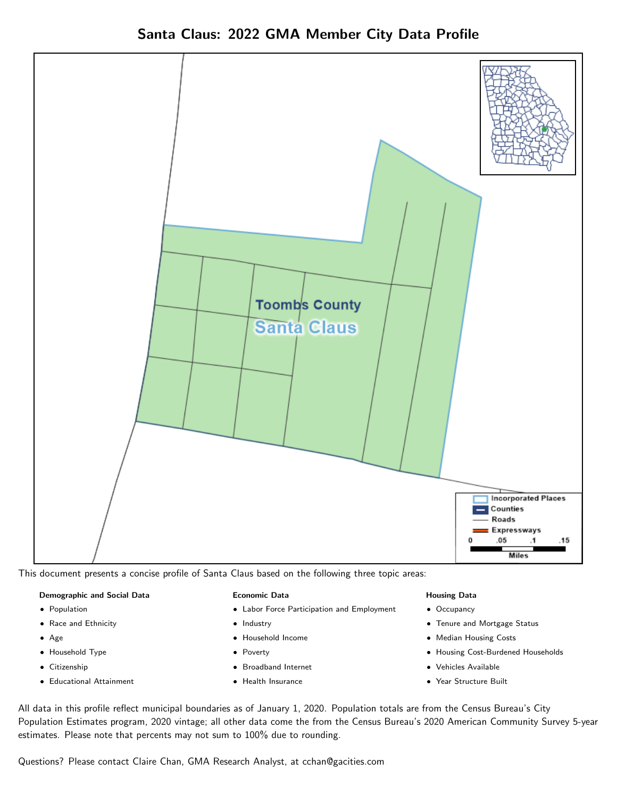Santa Claus: 2022 GMA Member City Data Profile



This document presents a concise profile of Santa Claus based on the following three topic areas:

### Demographic and Social Data

- **•** Population
- Race and Ethnicity
- Age
- Household Type
- **Citizenship**
- Educational Attainment

### Economic Data

- Labor Force Participation and Employment
- Industry
- Household Income
- Poverty
- Broadband Internet
- Health Insurance

### Housing Data

- Occupancy
- Tenure and Mortgage Status
- Median Housing Costs
- Housing Cost-Burdened Households
- Vehicles Available
- Year Structure Built

All data in this profile reflect municipal boundaries as of January 1, 2020. Population totals are from the Census Bureau's City Population Estimates program, 2020 vintage; all other data come the from the Census Bureau's 2020 American Community Survey 5-year estimates. Please note that percents may not sum to 100% due to rounding.

Questions? Please contact Claire Chan, GMA Research Analyst, at [cchan@gacities.com.](mailto:cchan@gacities.com)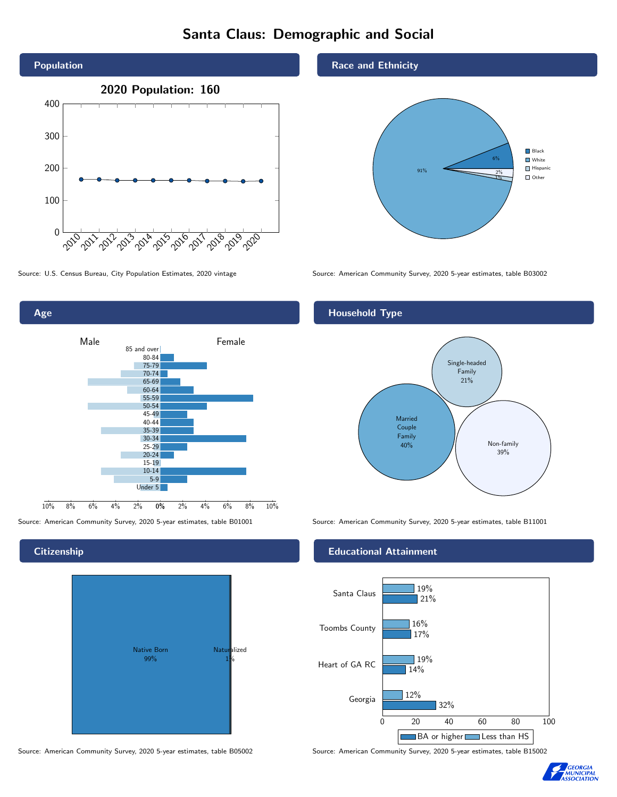# Santa Claus: Demographic and Social



0% 2% 4% 6% 8% 10% Male **Female** 10% 8% 6% 4% 2% 85 and over 80-84 75-79 70-74 65-69 60-64 55-59 50-54 45-49 40-44 35-39 30-34 25-29 20-24 15-19  $10-14$ 5-9 Under 5

**Citizenship** 

Age



Source: American Community Survey, 2020 5-year estimates, table B05002 Source: American Community Survey, 2020 5-year estimates, table B15002

## Race and Ethnicity



Source: U.S. Census Bureau, City Population Estimates, 2020 vintage Source: American Community Survey, 2020 5-year estimates, table B03002

## Household Type



Source: American Community Survey, 2020 5-year estimates, table B01001 Source: American Community Survey, 2020 5-year estimates, table B11001

## Educational Attainment



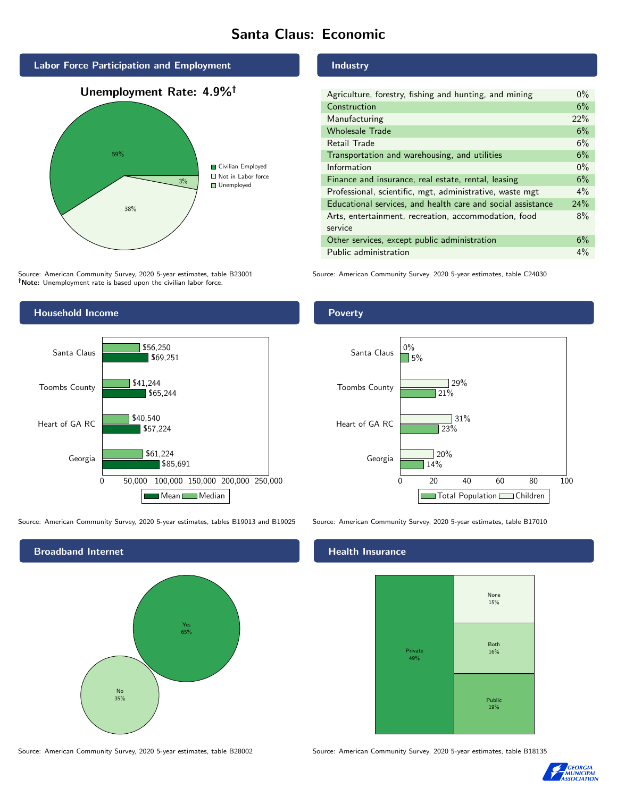# Santa Claus: Economic



Source: American Community Survey, 2020 5-year estimates, table B23001 Note: Unemployment rate is based upon the civilian labor force.

## Industry

| Agriculture, forestry, fishing and hunting, and mining      | $0\%$ |
|-------------------------------------------------------------|-------|
| Construction                                                | 6%    |
| Manufacturing                                               | 22%   |
| <b>Wholesale Trade</b>                                      | 6%    |
| Retail Trade                                                | 6%    |
| Transportation and warehousing, and utilities               | 6%    |
| Information                                                 | $0\%$ |
| Finance and insurance, real estate, rental, leasing         | 6%    |
| Professional, scientific, mgt, administrative, waste mgt    | $4\%$ |
| Educational services, and health care and social assistance | 24%   |
| Arts, entertainment, recreation, accommodation, food        | 8%    |
| service                                                     |       |
| Other services, except public administration                | 6%    |
| Public administration                                       | 4%    |

Source: American Community Survey, 2020 5-year estimates, table C24030



Source: American Community Survey, 2020 5-year estimates, tables B19013 and B19025 Source: American Community Survey, 2020 5-year estimates, table B17010



## Health Insurance



Source: American Community Survey, 2020 5-year estimates, table B28002 Source: American Community Survey, 2020 5-year estimates, table B18135